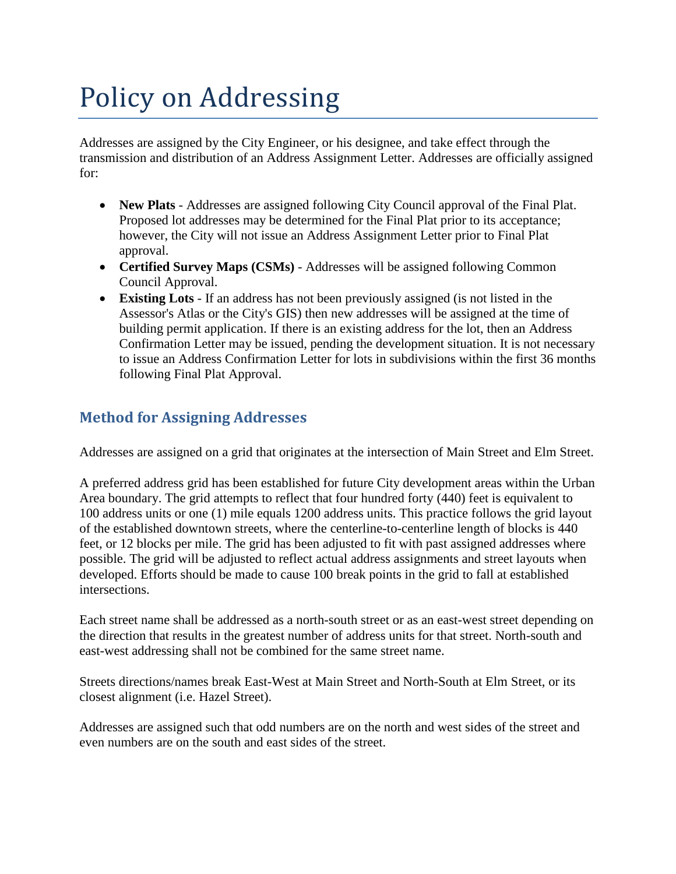# Policy on Addressing

Addresses are assigned by the City Engineer, or his designee, and take effect through the transmission and distribution of an Address Assignment Letter. Addresses are officially assigned for:

- **New Plats** Addresses are assigned following City Council approval of the Final Plat. Proposed lot addresses may be determined for the Final Plat prior to its acceptance; however, the City will not issue an Address Assignment Letter prior to Final Plat approval.
- **Certified Survey Maps (CSMs)** Addresses will be assigned following Common Council Approval.
- **Existing Lots** If an address has not been previously assigned (is not listed in the Assessor's Atlas or the City's GIS) then new addresses will be assigned at the time of building permit application. If there is an existing address for the lot, then an Address Confirmation Letter may be issued, pending the development situation. It is not necessary to issue an Address Confirmation Letter for lots in subdivisions within the first 36 months following Final Plat Approval.

## **Method for Assigning Addresses**

Addresses are assigned on a grid that originates at the intersection of Main Street and Elm Street.

A preferred address grid has been established for future City development areas within the Urban Area boundary. The grid attempts to reflect that four hundred forty (440) feet is equivalent to 100 address units or one (1) mile equals 1200 address units. This practice follows the grid layout of the established downtown streets, where the centerline-to-centerline length of blocks is 440 feet, or 12 blocks per mile. The grid has been adjusted to fit with past assigned addresses where possible. The grid will be adjusted to reflect actual address assignments and street layouts when developed. Efforts should be made to cause 100 break points in the grid to fall at established intersections.

Each street name shall be addressed as a north-south street or as an east-west street depending on the direction that results in the greatest number of address units for that street. North-south and east-west addressing shall not be combined for the same street name.

Streets directions/names break East-West at Main Street and North-South at Elm Street, or its closest alignment (i.e. Hazel Street).

Addresses are assigned such that odd numbers are on the north and west sides of the street and even numbers are on the south and east sides of the street.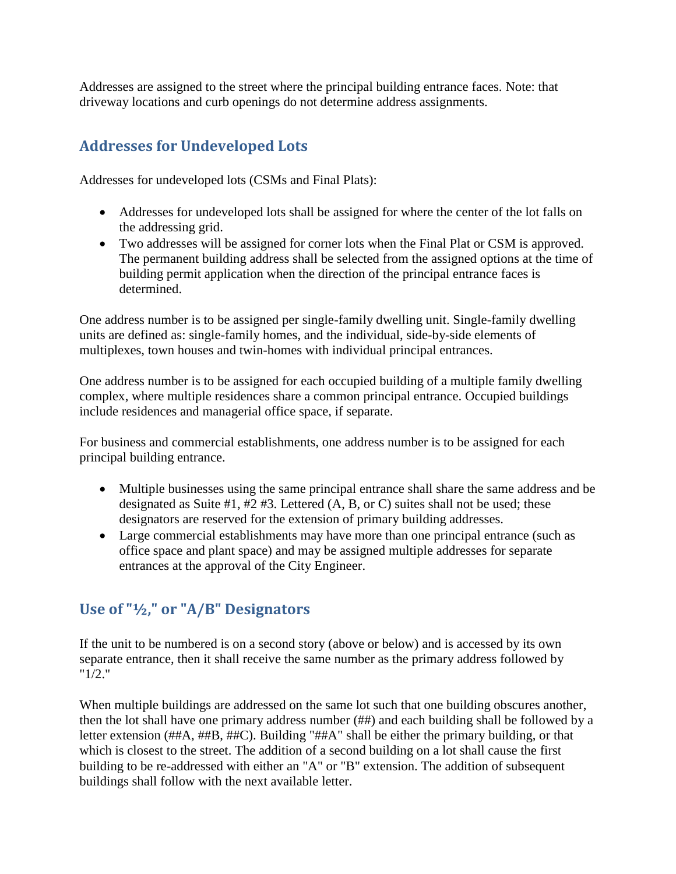Addresses are assigned to the street where the principal building entrance faces. Note: that driveway locations and curb openings do not determine address assignments.

## **Addresses for Undeveloped Lots**

Addresses for undeveloped lots (CSMs and Final Plats):

- Addresses for undeveloped lots shall be assigned for where the center of the lot falls on the addressing grid.
- Two addresses will be assigned for corner lots when the Final Plat or CSM is approved. The permanent building address shall be selected from the assigned options at the time of building permit application when the direction of the principal entrance faces is determined.

One address number is to be assigned per single-family dwelling unit. Single-family dwelling units are defined as: single-family homes, and the individual, side-by-side elements of multiplexes, town houses and twin-homes with individual principal entrances.

One address number is to be assigned for each occupied building of a multiple family dwelling complex, where multiple residences share a common principal entrance. Occupied buildings include residences and managerial office space, if separate.

For business and commercial establishments, one address number is to be assigned for each principal building entrance.

- Multiple businesses using the same principal entrance shall share the same address and be designated as Suite #1, #2 #3. Lettered (A, B, or C) suites shall not be used; these designators are reserved for the extension of primary building addresses.
- Large commercial establishments may have more than one principal entrance (such as office space and plant space) and may be assigned multiple addresses for separate entrances at the approval of the City Engineer.

## **Use of "½," or "A/B" Designators**

If the unit to be numbered is on a second story (above or below) and is accessed by its own separate entrance, then it shall receive the same number as the primary address followed by "1/2."

When multiple buildings are addressed on the same lot such that one building obscures another, then the lot shall have one primary address number (##) and each building shall be followed by a letter extension (##A, ##B, ##C). Building "##A" shall be either the primary building, or that which is closest to the street. The addition of a second building on a lot shall cause the first building to be re-addressed with either an "A" or "B" extension. The addition of subsequent buildings shall follow with the next available letter.